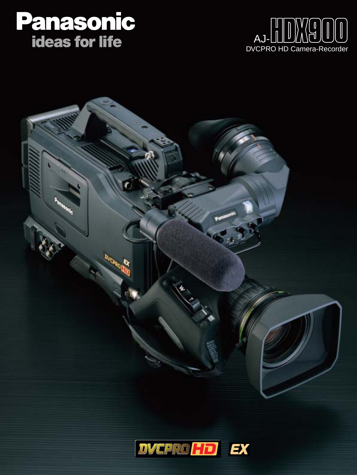# **Panasonic<br>ideas for life**





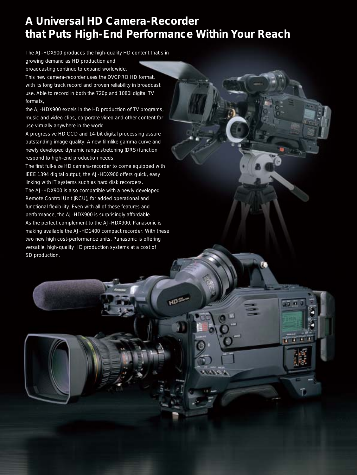## **A Universal HD Camera-Recorder that Puts High-End Performance Within Your Reach**

HD<sup>3</sup>

QED 17 C

 $\mathbf{r}$   $\mathbf{r}$ 

The AJ-HDX900 produces the high-quality HD content that's in

growing demand as HD production and broadcasting continue to expand worldwide.

This new camera-recorder uses the DVCPRO HD format, with its long track record and proven reliability in broadcast use. Able to record in both the 720p and 1080i digital TV formats,

the AJ-HDX900 excels in the HD production of TV programs, music and video clips, corporate video and other content for use virtually anywhere in the world.

A progressive HD CCD and 14-bit digital processing assure outstanding image quality. A new filmlike gamma curve and newly developed dynamic range stretching (DRS) function respond to high-end production needs.

The first full-size HD camera-recorder to come equipped with IEEE 1394 digital output, the AJ-HDX900 offers quick, easy linking with IT systems such as hard disk recorders. The AJ-HDX900 is also compatible with a newly developed Remote Control Unit (RCU), for added operational and functional flexibility. Even with all of these features and performance, the AJ-HDX900 is surprisingly affordable. As the perfect complement to the AJ-HDX900, Panasonic is making available the AJ-HD1400 compact recorder. With these two new high cost-performance units, Panasonic is offering versatile, high-quality HD production systems at a cost of SD production.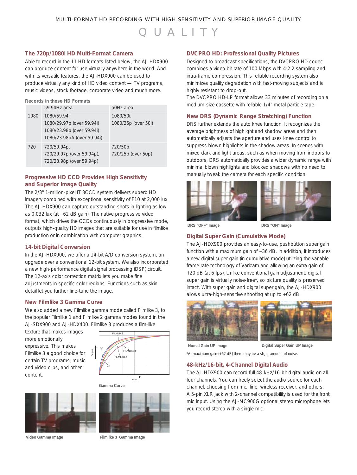## QUALITY

#### **The 720p/1080i HD Multi-Format Camera**

Able to record in the 11 HD formats listed below, the AJ-HDX900 can produce content for use virtually anywhere in the world. And with its versatile features, the AJ-HDX900 can be used to produce virtually any kind of HD video content — TV programs, music videos, stock footage, corporate video and much more.

**Records in these HD Formats**

|      | 59.94Hz area                                                                                        | 50Hz area                        |
|------|-----------------------------------------------------------------------------------------------------|----------------------------------|
| 1080 | 1080/59.94i<br>1080/29.97p (over 59.94i)<br>1080/23.98p (over 59.94i)<br>1080/23.98pA (over 59.94i) | 1080/50i,<br>1080/25p (over 50i) |
|      |                                                                                                     |                                  |
| 720  | 720/59.94p,<br>720/29.97p (over 59.94p),                                                            | 720/50p.<br>720/25p (over 50p)   |
|      | 720/23.98p (over 59.94p)                                                                            |                                  |

#### **Progressive HD CCD Provides High Sensitivity and Superior Image Quality**

The 2/3" 1-million-pixel IT 3CCD system delivers superb HD imagery combined with exceptional sensitivity of F10 at 2,000 lux. The AJ-HDX900 can capture outstanding shots in lighting as low as 0.032 lux (at +62 dB gain). The native progressive video format, which drives the CCDs continuously in progressive mode, outputs high-quality HD images that are suitable for use in filmlike production or in combination with computer graphics.

#### **14-bit Digital Conversion**

In the AJ-HDX900, we offer a 14-bit A/D conversion system, an upgrade over a conventional 12-bit system. We also incorporated a new high-performance digital signal processing (DSP) circuit. The 12-axis color correction matrix lets you make fine adjustments in specific color regions. Functions such as skin detail let you further fine-tune the image.

#### **New Filmlike 3 Gamma Curve**

We also added a new Filmlike gamma mode called Filmlike 3, to the popular Filmlike 1 and Filmlike 2 gamma modes found in the AJ-SDX900 and AJ-HDX400. Filmlike 3 produces a film-like

texture that makes images more emotionally expressive. This makes Filmlike 3 a good choice for certain TV programs, music and video clips, and other content.



**Gamma Curve**





Input

#### **DVCPRO HD: Professional Quality Pictures**

Designed to broadcast specifications, the DVCPRO HD codec combines a video bit rate of 100 Mbps with 4:2:2 sampling and intra-frame compression. This reliable recording system also minimizes quality degradation with fast-moving subjects and is highly resistant to drop-out.

The DVCPRO HD-LP format allows 33 minutes of recording on a medium-size cassette with reliable 1/4" metal particle tape.

#### **New DRS (Dynamic Range Stretching) Function**

DRS further extends the auto knee function. It recognizes the average brightness of highlight and shadow areas and then automatically adjusts the aperture and uses knee control to suppress blown highlights in the shadow areas. In scenes with mixed dark and light areas, such as when moving from indoors to outdoors, DRS automatically provides a wider dynamic range with minimal blown highlights and blocked shadows with no need to manually tweak the camera for each specific condition.





**DRS "OFF" Image DRS "ON" Image**

#### **Digital Super Gain (Cumulative Mode)**

The AJ-HDX900 provides an easy-to-use, pushbutton super gain function with a maximum gain of +36 dB. In addition, it introduces a new digital super gain (in cumulative mode) utilizing the variable frame rate technology of Varicam and allowing an extra gain of +20 dB (at 6 fps). Unlike conventional gain adjustment, digital super gain is virtually noise-free\*, so picture quality is preserved intact. With super gain and digital super gain, the AJ-HDX900 allows ultra-high-sensitive shooting at up to +62 dB.



**Nomal Gain UP Image Digital Super Gain UP Image**

\*At maximum gain (+62 dB) there may be a slight amount of noise.

#### **48-kHz/16-bit, 4-Channel Digital Audio**

The AJ-HDX900 can record full 48-kHz/16-bit digital audio on all four channels. You can freely select the audio source for each channel, choosing from mic, line, wireless receiver, and others. A 5-pin XLR jack with 2-channel compatibility is used for the front mic input. Using the AJ-MC900G optional stereo microphone lets you record stereo with a single mic.

**Video Gamma Image Filmlike 3 Gamma Image**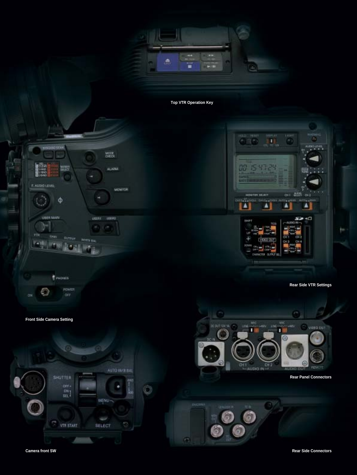

**Top VTR Operation Key**

面



POWER €

**Front Side Camera Setting**



**Rear Side VTR Settings**



**Rear Panel Connectors**

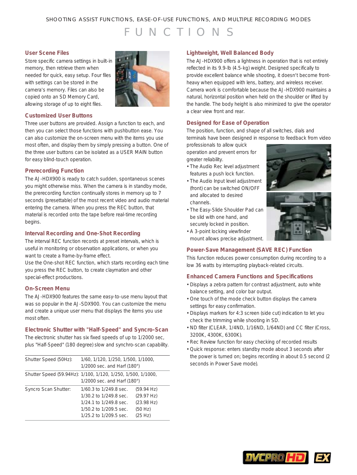#### SHOOTING ASSIST FUNCTIONS, EASE-OF-USE FUNCTIONS, AND MULTIPLE RECORDING MODES

## UNCTIONS

#### **User Scene Files**

Store specific camera settings in built-in memory, then retrieve them when needed for quick, easy setup. Four files with settings can be stored in the camera's memory. Files can also be copied onto an SD Memory Card, allowing storage of up to eight files.



#### **Customized User Buttons**

Three user buttons are provided. Assign a function to each, and then you can select those functions with pushbutton ease. You can also customize the on-screen menu with the items you use most often, and display them by simply pressing a button. One of the three user buttons can be isolated as a USER MAIN button for easy blind-touch operation.

#### **Prerecording Function**

The AJ-HDX900 is ready to catch sudden, spontaneous scenes you might otherwise miss. When the camera is in standby mode, the prerecording function continually stores in memory up to 7 seconds (presettable) of the most recent video and audio material entering the camera. When you press the REC button, that material is recorded onto the tape before real-time recording begins.

#### **Interval Recording and One-Shot Recording**

The interval REC function records at preset intervals, which is useful in monitoring or observation applications, or when you want to create a frame-by-frame effect.

Use the One-shot REC function, which starts recording each time you press the REC button, to create claymation and other special-effect productions.

#### **On-Screen Menu**

The AJ-HDX900 features the same easy-to-use menu layout that was so popular in the AJ-SDX900. You can customize the menu and create a unique user menu that displays the items you use most often.

#### **Electronic Shutter with "Half-Speed" and Syncro-Scan**

The electronic shutter has six fixed speeds of up to 1/2000 sec, plus "Half-Speed" (180 degree) slow and synchro-scan capability.

| Shutter Speed (50Hz):                                        | 1/60, 1/120, 1/250, 1/500, 1/1000,<br>1/2000 sec. and Harf (180°)                                                              |                                                              |
|--------------------------------------------------------------|--------------------------------------------------------------------------------------------------------------------------------|--------------------------------------------------------------|
| Shutter Speed (59.94Hz): 1/100, 1/120, 1/250, 1/500, 1/1000, | 1/2000 sec. and Harf (180°)                                                                                                    |                                                              |
| <b>Syncro Scan Shutter:</b>                                  | 1/60.3 to 1/249.8 sec.<br>1/30.2 to 1/249.8 sec.<br>1/24.1 to 1/249.8 sec.<br>1/50.2 to 1/209.5 sec.<br>1/25.2 to 1/209.5 sec. | (59.94 Hz)<br>(29.97 Hz)<br>(23.98 Hz)<br>(50 Hz)<br>(25 Hz) |

#### **Lightweight, Well Balanced Body**

The AJ-HDX900 offers a lightness in operation that is not entirely reflected in its 9.9-lb (4.5-kg) weight. Designed specifically to provide excellent balance while shooting, it doesn't become frontheavy when equipped with lens, battery, and wireless receiver. Camera work is comfortable because the AJ-HDX900 maintains a natural, horizontal position when held on the shoulder or lifted by the handle. The body height is also minimized to give the operator a clear view front and rear.

#### **Designed for Ease of Operation**

The position, function, and shape of all switches, dials and terminals have been designed in response to feedback from video

professionals to allow quick operation and prevent errors for greater reliability.

- The Audio Rec level adjustment features a push lock function.
- The Audio Input level adjustment (front) can be switched ON/OFF and allocated to desired channels.
- The Easy-Slide Shoulder Pad can be slid with one hand, and securely locked in position.
- A 3-point locking viewfinder mount allows precise adjustment.

## **Power-Save Management (SAVE REC) Function**

This function reduces power consumption during recording to a low 36 watts by interrupting playback-related circuits.

#### **Enhanced Camera Functions and Specifications**

- Displays a zebra pattern for contrast adjustment, auto white balance setting, and color bar output.
- One touch of the mode check button displays the camera settings for easy confirmation.
- •Displays markers for 4:3 screen (side cut) indication to let you check the trimming while shooting in SD.
- ND filter (CLEAR, 1/4ND, 1/16ND, 1/64ND) and CC filter (Cross, 3200K, 4300K, 6300K).
- Rec Review function for easy checking of recorded results
- Quick response: enters standby mode about 3 seconds after the power is turned on; begins recording in about 0.5 second (2 seconds in Power Save mode).



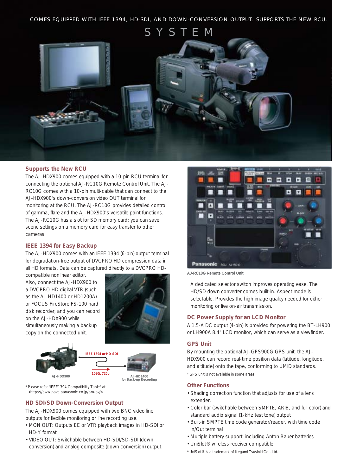SYSTEM



#### **Supports the New RCU**

The AJ-HDX900 comes equipped with a 10-pin RCU terminal for connecting the optional AJ-RC10G Remote Control Unit. The AJ-RC10G comes with a 10-pin multi-cable that can connect to the AJ-HDX900's down-conversion video OUT terminal for monitoring at the RCU. The AJ-RC10G provides detailed control of gamma, flare and the AJ-HDX900's versatile paint functions. The AJ-RC10G has a slot for SD memory card; you can save scene settings on a memory card for easy transfer to other cameras.

#### **IEEE 1394 for Easy Backup**

The AJ-HDX900 comes with an IEEE 1394 (6-pin) output terminal for degradation-free output of DVCPRO HD compression data in all HD formats. Data can be captured directly to a DVCPRO HD-

compatible nonlinear editor. Also, connect the AJ-HDX900 to a DVCPRO HD digital VTR (such as the AJ-HD1400 or HD1200A) or FOCUS FireStore FS-100 hard disk recorder, and you can record on the AJ-HDX900 while simultaneously making a backup copy on the connected unit.







\* Please refer "IEEE1394 Compatibility Table" at <https://eww.pavc.panasonic.co.jp/pro-av/>.

#### **HD SDI/SD Down-Conversion Output**

The AJ-HDX900 comes equipped with two BNC video line outputs for flexible monitoring or line recording use.

- MON OUT: Outputs EE or VTR playback images in HD-SDI or HD-Y format
- VIDEO OUT: Switchable between HD-SDI/SD-SDI (down conversion) and analog composite (down conversion) output.



**AJ-RC10G Remote Control Unit**

A dedicated selector switch improves operating ease. The HD/SD down converter comes built-in. Aspect mode is selectable. Provides the high image quality needed for either monitoring or live on-air transmission.

#### **DC Power Supply for an LCD Monitor**

A 1.5-A DC output (4-pin) is provided for powering the BT-LH900 or LH900A 8.4" LCD monitor, which can serve as a viewfinder.

#### **GPS Unit**

By mounting the optional AJ-GPS900G GPS unit, the AJ-HDX900 can record real-time position data (latitude, longitude, and altitude) onto the tape, conforming to UMID standards.

\* GPS unit is not available in some areas.

#### **Other Functions**

- Shading correction function that adjusts for use of a lens extender.
- Color bar (switchable between SMPTE, ARIB, and full color) and standard audio signal (1-kHz test tone) output
- Built-in SMPTE time code generator/reader, with time code In/Out terminal
- Multiple battery support, including Anton Bauer batteries
- •UniSlot® wireless receiver compatible
- \* UniSlot® is a trademark of Ikegami Tsusinki Co., Ltd.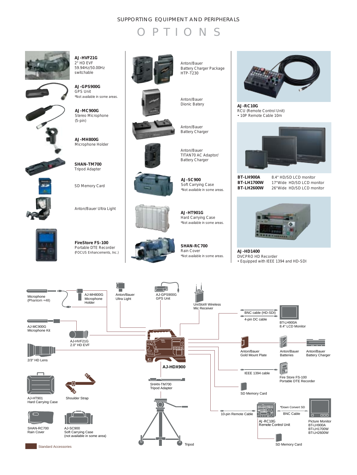#### SUPPORTING EQUIPMENT AND PERIPHERALS





**AJ-HVF21G** 2" HD EVF 59.94Hz/50.00Hz switchable

**AJ-GPS900G** GPS Unit





**AJ-MC900G** \*Not available in some areas.

Stereo Microphone (5-pin)

**AJ-MH800G** Microphone Holder



**SHAN-TM700** Tripod Adapter

SD Memory Card

Anton/Bauer Ultra Light



**FireStore FS-100** Portable DTE Recorder



**AJ-SC900**

Anton/Bauer TITAN70 AC Adaptor/ Battery Charger

Anton/Bauer Battery Charger

Anton/Bauer Battery Charger Package

HTP-T230

Anton/Bauer Dionic Batery

Soft Carrying Case \*Not available in some areas.

**AJ-HT901G** Hard Carrying Case \*Not available in some areas.

**SHAN-RC700** Rain Cover \*Not available in some areas.



**AJ-RC10G** RCU (Remote Control Unit) • 10P Remote Cable 10m



**BT-LH900A** 8.4" HD/SD LCD monitor<br>**BT-LH1700W** 17"Wide HD/SD LCD mo **BT-LH1700W** 17"Wide HD/SD LCD monitor<br>**BT-LH2600W** 26"Wide HD/SD LCD monitor 26"Wide HD/SD LCD monitor



DVCPRO HD Recorder • Equipped with IEEE 1394 and HD-SDI